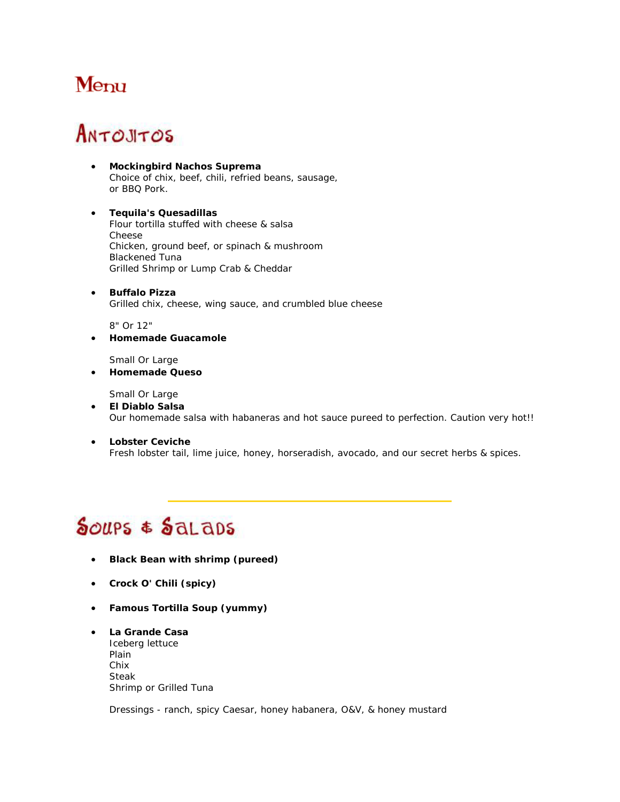### Menu

# ANTOJITOS

- **Mockingbird Nachos Suprema** Choice of chix, beef, chili, refried beans, sausage, or BBQ Pork.
- **Tequila's Quesadillas** Flour tortilla stuffed with cheese & salsa Cheese Chicken, ground beef, or spinach & mushroom Blackened Tuna Grilled Shrimp or Lump Crab & Cheddar
- **Buffalo Pizza** Grilled chix, cheese, wing sauce, and crumbled blue cheese

8" Or 12"

• **Homemade Guacamole**

Small Or Large

• **Homemade Queso**

Small Or Large

- **El Diablo Salsa** Our homemade salsa with habaneras and hot sauce pureed to perfection. Caution very hot!!
- **Lobster Ceviche** Fresh lobster tail, lime juice, honey, horseradish, avocado, and our secret herbs & spices.

# Soups & Salaps

- **Black Bean with shrimp (pureed)**
- **Crock O' Chili (spicy)**
- **Famous Tortilla Soup (yummy)**
- **La Grande Casa** Iceberg lettuce Plain Chix Steak Shrimp or Grilled Tuna

Dressings - ranch, spicy Caesar, honey habanera, O&V, & honey mustard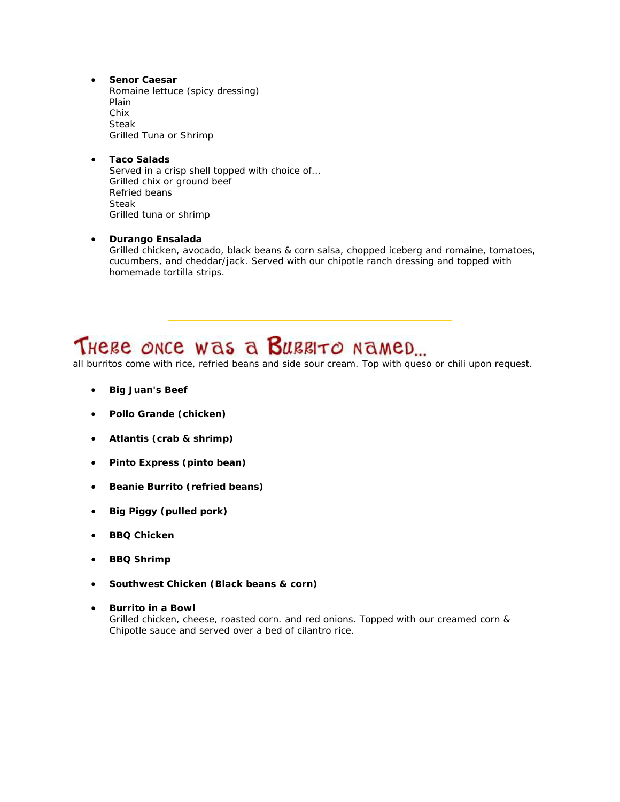• **Senor Caesar** Romaine lettuce (spicy dressing) Plain Chix Steak Grilled Tuna or Shrimp

• **Taco Salads** Served in a crisp shell topped with choice of... Grilled chix or ground beef Refried beans Steak Grilled tuna or shrimp

### • **Durango Ensalada**

Grilled chicken, avocado, black beans & corn salsa, chopped iceberg and romaine, tomatoes, cucumbers, and cheddar/jack. Served with our chipotle ranch dressing and topped with homemade tortilla strips.

## THERE ONCE WAS A BURRITO NAMED...

*all burritos come with rice, refried beans and side sour cream. Top with queso or chili upon request.*

- **Big Juan's Beef**
- **Pollo Grande (chicken)**
- **Atlantis (crab & shrimp)**
- **Pinto Express (pinto bean)**
- **Beanie Burrito (refried beans)**
- **Big Piggy (pulled pork)**
- **BBQ Chicken**
- **BBQ Shrimp**
- **Southwest Chicken (Black beans & corn)**
- **Burrito in a Bowl** Grilled chicken, cheese, roasted corn. and red onions. Topped with our creamed corn & Chipotle sauce and served over a bed of cilantro rice.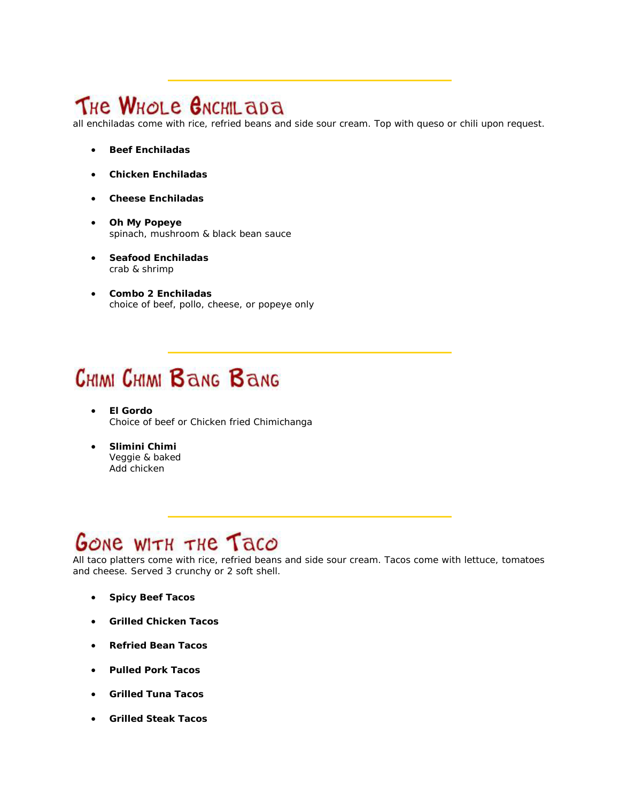## THE WHOLE GNCHIL aDA

*all enchiladas come with rice, refried beans and side sour cream. Top with queso or chili upon request.*

- **Beef Enchiladas**
- **Chicken Enchiladas**
- **Cheese Enchiladas**
- **Oh My Popeye** spinach, mushroom & black bean sauce
- **Seafood Enchiladas** crab & shrimp
- **Combo 2 Enchiladas** choice of beef, pollo, cheese, or popeye only

# **CHIMI CHIMI BANG BANG**

- **El Gordo** Choice of beef or Chicken fried Chimichanga
- **Slimini Chimi** Veggie & baked Add chicken

## GONE WITH THE Taco

*All taco platters come with rice, refried beans and side sour cream. Tacos come with lettuce, tomatoes and cheese. Served 3 crunchy or 2 soft shell.*

- **Spicy Beef Tacos**
- **Grilled Chicken Tacos**
- **Refried Bean Tacos**
- **Pulled Pork Tacos**
- **Grilled Tuna Tacos**
- **Grilled Steak Tacos**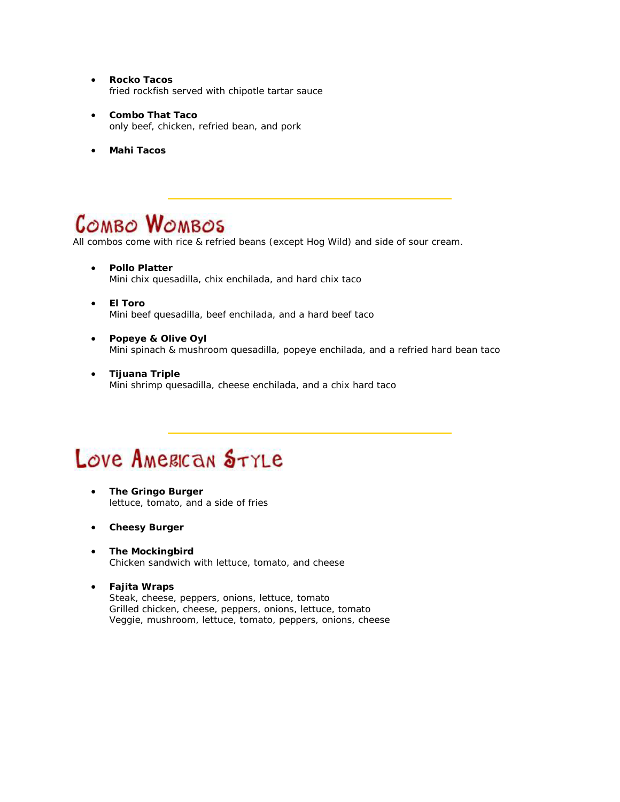- **Rocko Tacos** fried rockfish served with chipotle tartar sauce
- **Combo That Taco** only beef, chicken, refried bean, and pork
- **Mahi Tacos**

## **COMBO WOMBOS**

*All combos come with rice & refried beans (except Hog Wild) and side of sour cream.*

- **Pollo Platter** Mini chix quesadilla, chix enchilada, and hard chix taco
- **El Toro** Mini beef quesadilla, beef enchilada, and a hard beef taco
- **Popeye & Olive Oyl** Mini spinach & mushroom quesadilla, popeye enchilada, and a refried hard bean taco
- **Tijuana Triple** Mini shrimp quesadilla, cheese enchilada, and a chix hard taco

## Love AMERICAN STYLE

- **The Gringo Burger** lettuce, tomato, and a side of fries
- **Cheesy Burger**
- **The Mockingbird** Chicken sandwich with lettuce, tomato, and cheese
- **Fajita Wraps** Steak, cheese, peppers, onions, lettuce, tomato Grilled chicken, cheese, peppers, onions, lettuce, tomato Veggie, mushroom, lettuce, tomato, peppers, onions, cheese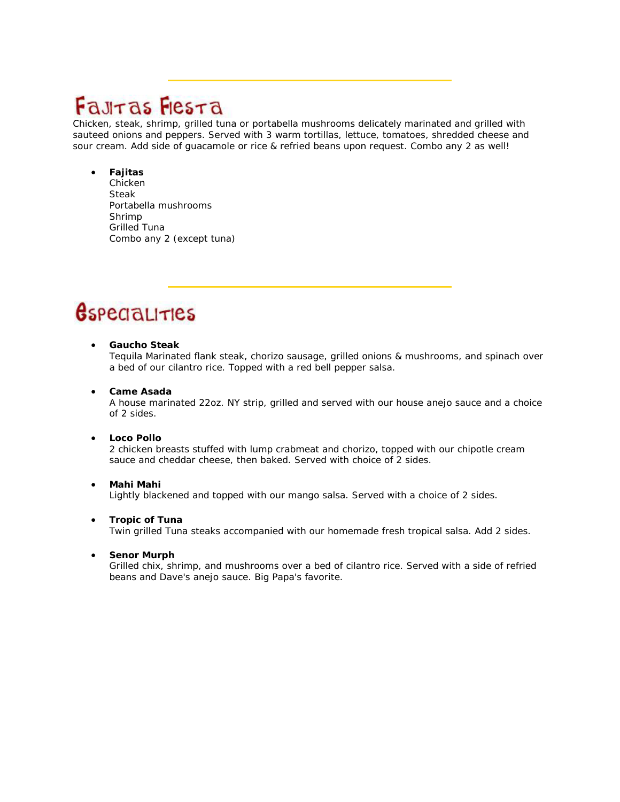## Fauras Flesta

Chicken, steak, shrimp, grilled tuna or portabella mushrooms delicately marinated and grilled with sauteed onions and peppers. Served with 3 warm tortillas, lettuce, tomatoes, shredded cheese and sour cream. Add side of guacamole or rice & refried beans upon request. Combo any 2 as well!

### • **Fajitas**

Chicken Steak Portabella mushrooms Shrimp Grilled Tuna Combo any 2 (except tuna)

## *<u>Gspecialities</u>*

### • **Gaucho Steak**

Tequila Marinated flank steak, chorizo sausage, grilled onions & mushrooms, and spinach over a bed of our cilantro rice. Topped with a red bell pepper salsa.

### • **Came Asada**

A house marinated 22oz. NY strip, grilled and served with our house anejo sauce and a choice of 2 sides.

### • **Loco Pollo**

2 chicken breasts stuffed with lump crabmeat and chorizo, topped with our chipotle cream sauce and cheddar cheese, then baked. Served with choice of 2 sides.

### • **Mahi Mahi** Lightly blackened and topped with our mango salsa. Served with a choice of 2 sides.

### • **Tropic of Tuna**

Twin grilled Tuna steaks accompanied with our homemade fresh tropical salsa. Add 2 sides.

### • **Senor Murph**

Grilled chix, shrimp, and mushrooms over a bed of cilantro rice. Served with a side of refried beans and Dave's anejo sauce. Big Papa's favorite.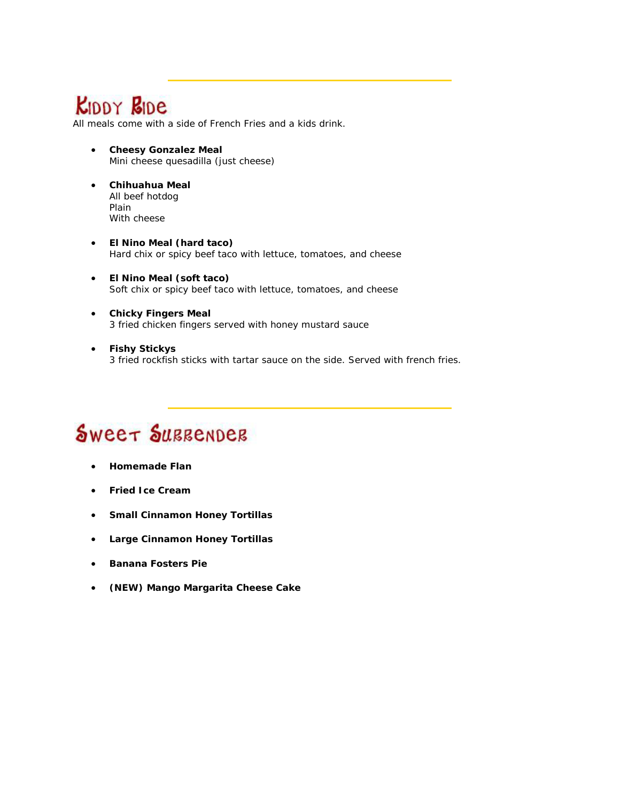## **KIDDY BIDE**

*All meals come with a side of French Fries and a kids drink.*

- **Cheesy Gonzalez Meal** Mini cheese quesadilla (just cheese)
- **Chihuahua Meal** All beef hotdog Plain With cheese
- **El Nino Meal (hard taco)** Hard chix or spicy beef taco with lettuce, tomatoes, and cheese
- **El Nino Meal (soft taco)** Soft chix or spicy beef taco with lettuce, tomatoes, and cheese
- **Chicky Fingers Meal** 3 fried chicken fingers served with honey mustard sauce
- **Fishy Stickys** 3 fried rockfish sticks with tartar sauce on the side. Served with french fries.

# Sweet SUBBENDEB

- **Homemade Flan**
- **Fried Ice Cream**
- **Small Cinnamon Honey Tortillas**
- **Large Cinnamon Honey Tortillas**
- **Banana Fosters Pie**
- **(NEW) Mango Margarita Cheese Cake**